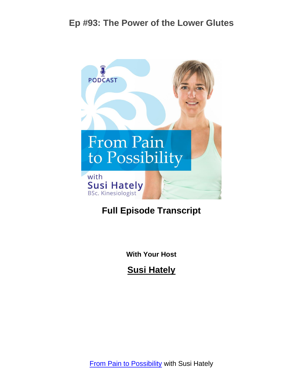

#### **Full Episode Transcript**

**With Your Host**

**Susi Hately**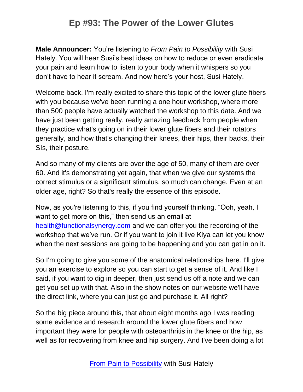**Male Announcer:** You're listening to *From Pain to Possibility* with Susi Hately. You will hear Susi's best ideas on how to reduce or even eradicate your pain and learn how to listen to your body when it whispers so you don't have to hear it scream. And now here's your host, Susi Hately.

Welcome back, I'm really excited to share this topic of the lower glute fibers with you because we've been running a one hour workshop, where more than 500 people have actually watched the workshop to this date. And we have just been getting really, really amazing feedback from people when they practice what's going on in their lower glute fibers and their rotators generally, and how that's changing their knees, their hips, their backs, their SIs, their posture.

And so many of my clients are over the age of 50, many of them are over 60. And it's demonstrating yet again, that when we give our systems the correct stimulus or a significant stimulus, so much can change. Even at an older age, right? So that's really the essence of this episode.

Now, as you're listening to this, if you find yourself thinking, "Ooh, yeah, I want to get more on this," then send us an email at [health@functionalsynergy.com](mailto:health@functionalsynergy.com) and we can offer you the recording of the workshop that we've run. Or if you want to join it live Kiya can let you know when the next sessions are going to be happening and you can get in on it.

So I'm going to give you some of the anatomical relationships here. I'll give you an exercise to explore so you can start to get a sense of it. And like I said, if you want to dig in deeper, then just send us off a note and we can get you set up with that. Also in the show notes on our website we'll have the direct link, where you can just go and purchase it. All right?

So the big piece around this, that about eight months ago I was reading some evidence and research around the lower glute fibers and how important they were for people with osteoarthritis in the knee or the hip, as well as for recovering from knee and hip surgery. And I've been doing a lot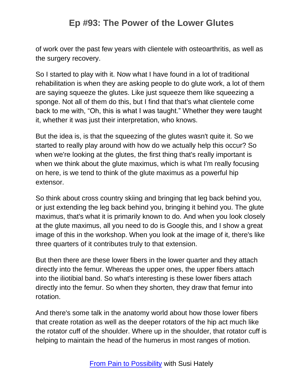of work over the past few years with clientele with osteoarthritis, as well as the surgery recovery.

So I started to play with it. Now what I have found in a lot of traditional rehabilitation is when they are asking people to do glute work, a lot of them are saying squeeze the glutes. Like just squeeze them like squeezing a sponge. Not all of them do this, but I find that that's what clientele come back to me with, "Oh, this is what I was taught." Whether they were taught it, whether it was just their interpretation, who knows.

But the idea is, is that the squeezing of the glutes wasn't quite it. So we started to really play around with how do we actually help this occur? So when we're looking at the glutes, the first thing that's really important is when we think about the glute maximus, which is what I'm really focusing on here, is we tend to think of the glute maximus as a powerful hip extensor.

So think about cross country skiing and bringing that leg back behind you, or just extending the leg back behind you, bringing it behind you. The glute maximus, that's what it is primarily known to do. And when you look closely at the glute maximus, all you need to do is Google this, and I show a great image of this in the workshop. When you look at the image of it, there's like three quarters of it contributes truly to that extension.

But then there are these lower fibers in the lower quarter and they attach directly into the femur. Whereas the upper ones, the upper fibers attach into the iliotibial band. So what's interesting is these lower fibers attach directly into the femur. So when they shorten, they draw that femur into rotation.

And there's some talk in the anatomy world about how those lower fibers that create rotation as well as the deeper rotators of the hip act much like the rotator cuff of the shoulder. Where up in the shoulder, that rotator cuff is helping to maintain the head of the humerus in most ranges of motion.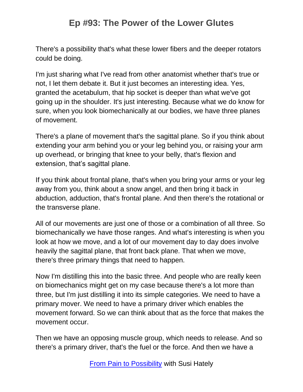There's a possibility that's what these lower fibers and the deeper rotators could be doing.

I'm just sharing what I've read from other anatomist whether that's true or not, I let them debate it. But it just becomes an interesting idea. Yes, granted the acetabulum, that hip socket is deeper than what we've got going up in the shoulder. It's just interesting. Because what we do know for sure, when you look biomechanically at our bodies, we have three planes of movement.

There's a plane of movement that's the sagittal plane. So if you think about extending your arm behind you or your leg behind you, or raising your arm up overhead, or bringing that knee to your belly, that's flexion and extension, that's sagittal plane.

If you think about frontal plane, that's when you bring your arms or your leg away from you, think about a snow angel, and then bring it back in abduction, adduction, that's frontal plane. And then there's the rotational or the transverse plane.

All of our movements are just one of those or a combination of all three. So biomechanically we have those ranges. And what's interesting is when you look at how we move, and a lot of our movement day to day does involve heavily the sagittal plane, that front back plane. That when we move, there's three primary things that need to happen.

Now I'm distilling this into the basic three. And people who are really keen on biomechanics might get on my case because there's a lot more than three, but I'm just distilling it into its simple categories. We need to have a primary mover. We need to have a primary driver which enables the movement forward. So we can think about that as the force that makes the movement occur.

Then we have an opposing muscle group, which needs to release. And so there's a primary driver, that's the fuel or the force. And then we have a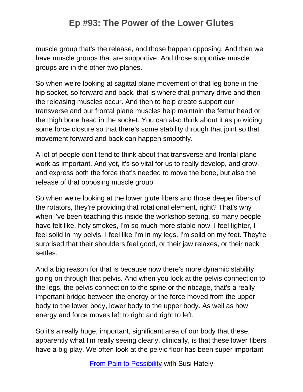muscle group that's the release, and those happen opposing. And then we have muscle groups that are supportive. And those supportive muscle groups are in the other two planes.

So when we're looking at sagittal plane movement of that leg bone in the hip socket, so forward and back, that is where that primary drive and then the releasing muscles occur. And then to help create support our transverse and our frontal plane muscles help maintain the femur head or the thigh bone head in the socket. You can also think about it as providing some force closure so that there's some stability through that joint so that movement forward and back can happen smoothly.

A lot of people don't tend to think about that transverse and frontal plane work as important. And yet, it's so vital for us to really develop, and grow, and express both the force that's needed to move the bone, but also the release of that opposing muscle group.

So when we're looking at the lower glute fibers and those deeper fibers of the rotators, they're providing that rotational element, right? That's why when I've been teaching this inside the workshop setting, so many people have felt like, holy smokes, I'm so much more stable now. I feel lighter, I feel solid in my pelvis. I feel like I'm in my legs. I'm solid on my feet. They're surprised that their shoulders feel good, or their jaw relaxes, or their neck settles.

And a big reason for that is because now there's more dynamic stability going on through that pelvis. And when you look at the pelvis connection to the legs, the pelvis connection to the spine or the ribcage, that's a really important bridge between the energy or the force moved from the upper body to the lower body, lower body to the upper body. As well as how energy and force moves left to right and right to left.

So it's a really huge, important, significant area of our body that these, apparently what I'm really seeing clearly, clinically, is that these lower fibers have a big play. We often look at the pelvic floor has been super important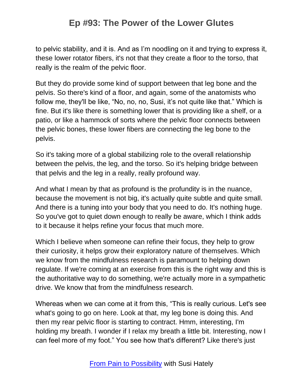to pelvic stability, and it is. And as I'm noodling on it and trying to express it, these lower rotator fibers, it's not that they create a floor to the torso, that really is the realm of the pelvic floor.

But they do provide some kind of support between that leg bone and the pelvis. So there's kind of a floor, and again, some of the anatomists who follow me, they'll be like, "No, no, no, Susi, it's not quite like that." Which is fine. But it's like there is something lower that is providing like a shelf, or a patio, or like a hammock of sorts where the pelvic floor connects between the pelvic bones, these lower fibers are connecting the leg bone to the pelvis.

So it's taking more of a global stabilizing role to the overall relationship between the pelvis, the leg, and the torso. So it's helping bridge between that pelvis and the leg in a really, really profound way.

And what I mean by that as profound is the profundity is in the nuance, because the movement is not big, it's actually quite subtle and quite small. And there is a tuning into your body that you need to do. It's nothing huge. So you've got to quiet down enough to really be aware, which I think adds to it because it helps refine your focus that much more.

Which I believe when someone can refine their focus, they help to grow their curiosity, it helps grow their exploratory nature of themselves. Which we know from the mindfulness research is paramount to helping down regulate. If we're coming at an exercise from this is the right way and this is the authoritative way to do something, we're actually more in a sympathetic drive. We know that from the mindfulness research.

Whereas when we can come at it from this, "This is really curious. Let's see what's going to go on here. Look at that, my leg bone is doing this. And then my rear pelvic floor is starting to contract. Hmm, interesting, I'm holding my breath. I wonder if I relax my breath a little bit. Interesting, now I can feel more of my foot." You see how that's different? Like there's just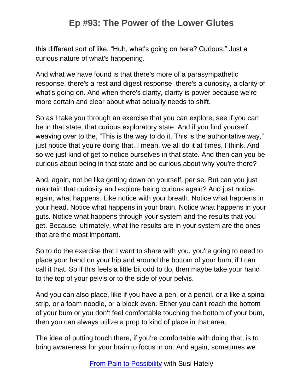this different sort of like, "Huh, what's going on here? Curious." Just a curious nature of what's happening.

And what we have found is that there's more of a parasympathetic response, there's a rest and digest response, there's a curiosity, a clarity of what's going on. And when there's clarity, clarity is power because we're more certain and clear about what actually needs to shift.

So as I take you through an exercise that you can explore, see if you can be in that state, that curious exploratory state. And if you find yourself weaving over to the, "This is the way to do it. This is the authoritative way," just notice that you're doing that. I mean, we all do it at times, I think. And so we just kind of get to notice ourselves in that state. And then can you be curious about being in that state and be curious about why you're there?

And, again, not be like getting down on yourself, per se. But can you just maintain that curiosity and explore being curious again? And just notice, again, what happens. Like notice with your breath. Notice what happens in your head. Notice what happens in your brain. Notice what happens in your guts. Notice what happens through your system and the results that you get. Because, ultimately, what the results are in your system are the ones that are the most important.

So to do the exercise that I want to share with you, you're going to need to place your hand on your hip and around the bottom of your bum, if I can call it that. So if this feels a little bit odd to do, then maybe take your hand to the top of your pelvis or to the side of your pelvis.

And you can also place, like if you have a pen, or a pencil, or a like a spinal strip, or a foam noodle, or a block even. Either you can't reach the bottom of your bum or you don't feel comfortable touching the bottom of your bum, then you can always utilize a prop to kind of place in that area.

The idea of putting touch there, if you're comfortable with doing that, is to bring awareness for your brain to focus in on. And again, sometimes we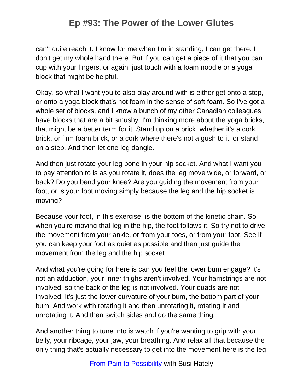can't quite reach it. I know for me when I'm in standing, I can get there, I don't get my whole hand there. But if you can get a piece of it that you can cup with your fingers, or again, just touch with a foam noodle or a yoga block that might be helpful.

Okay, so what I want you to also play around with is either get onto a step, or onto a yoga block that's not foam in the sense of soft foam. So I've got a whole set of blocks, and I know a bunch of my other Canadian colleagues have blocks that are a bit smushy. I'm thinking more about the yoga bricks, that might be a better term for it. Stand up on a brick, whether it's a cork brick, or firm foam brick, or a cork where there's not a gush to it, or stand on a step. And then let one leg dangle.

And then just rotate your leg bone in your hip socket. And what I want you to pay attention to is as you rotate it, does the leg move wide, or forward, or back? Do you bend your knee? Are you guiding the movement from your foot, or is your foot moving simply because the leg and the hip socket is moving?

Because your foot, in this exercise, is the bottom of the kinetic chain. So when you're moving that leg in the hip, the foot follows it. So try not to drive the movement from your ankle, or from your toes, or from your foot. See if you can keep your foot as quiet as possible and then just guide the movement from the leg and the hip socket.

And what you're going for here is can you feel the lower bum engage? It's not an adduction, your inner thighs aren't involved. Your hamstrings are not involved, so the back of the leg is not involved. Your quads are not involved. It's just the lower curvature of your bum, the bottom part of your bum. And work with rotating it and then unrotating it, rotating it and unrotating it. And then switch sides and do the same thing.

And another thing to tune into is watch if you're wanting to grip with your belly, your ribcage, your jaw, your breathing. And relax all that because the only thing that's actually necessary to get into the movement here is the leg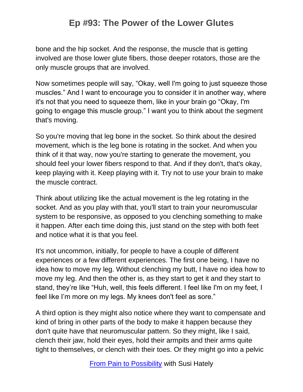bone and the hip socket. And the response, the muscle that is getting involved are those lower glute fibers, those deeper rotators, those are the only muscle groups that are involved.

Now sometimes people will say, "Okay, well I'm going to just squeeze those muscles." And I want to encourage you to consider it in another way, where it's not that you need to squeeze them, like in your brain go "Okay, I'm going to engage this muscle group." I want you to think about the segment that's moving.

So you're moving that leg bone in the socket. So think about the desired movement, which is the leg bone is rotating in the socket. And when you think of it that way, now you're starting to generate the movement, you should feel your lower fibers respond to that. And if they don't, that's okay, keep playing with it. Keep playing with it. Try not to use your brain to make the muscle contract.

Think about utilizing like the actual movement is the leg rotating in the socket. And as you play with that, you'll start to train your neuromuscular system to be responsive, as opposed to you clenching something to make it happen. After each time doing this, just stand on the step with both feet and notice what it is that you feel.

It's not uncommon, initially, for people to have a couple of different experiences or a few different experiences. The first one being, I have no idea how to move my leg. Without clenching my butt, I have no idea how to move my leg. And then the other is, as they start to get it and they start to stand, they're like "Huh, well, this feels different. I feel like I'm on my feet, I feel like I'm more on my legs. My knees don't feel as sore."

A third option is they might also notice where they want to compensate and kind of bring in other parts of the body to make it happen because they don't quite have that neuromuscular pattern. So they might, like I said, clench their jaw, hold their eyes, hold their armpits and their arms quite tight to themselves, or clench with their toes. Or they might go into a pelvic